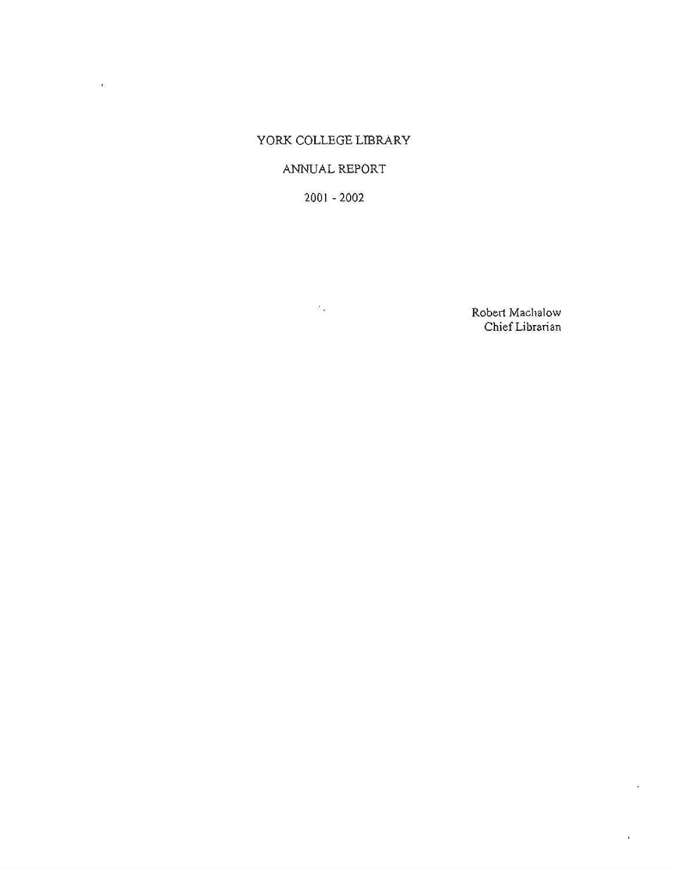# YORK COLLEGE LIBRARY

 $\mathcal{A}^{\text{max}}$ 

# ANNUAL REPORT

2001 - 2002

 $\mathcal{L}_{\text{max}}$ 

Robert Machalow Chief Librarian

 $\ddot{\phantom{a}}$ 

 $\bar{z}$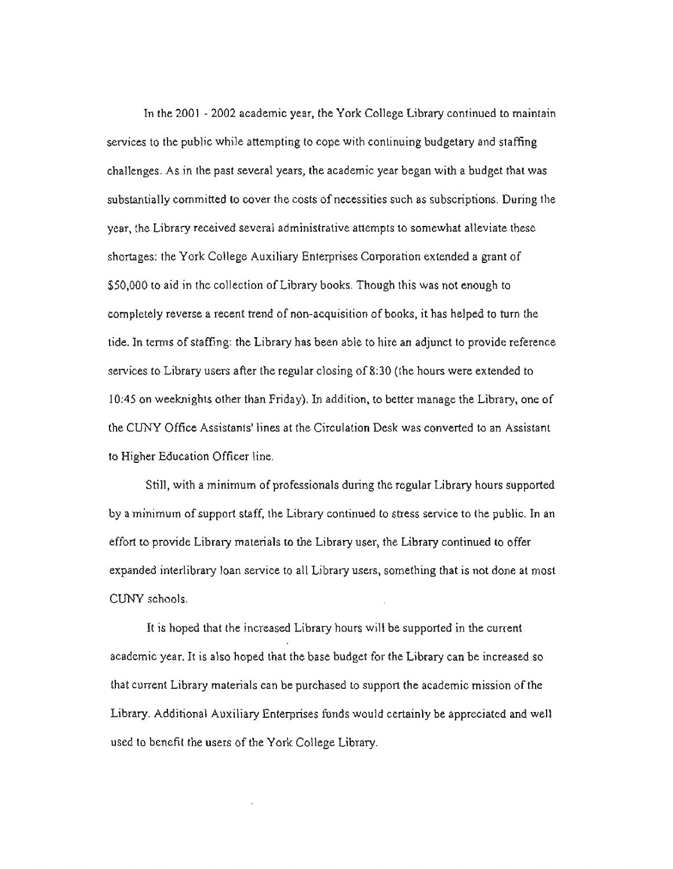Tn the 2001 - 2002 academic year, the York College Library continued to maintain services to the public while attempting to cope with continuing budgetary and staffing challenges. As in the past several years, the academic year began with a budget that was substantially committed lo cover the costs of necessities such as subscriptions. During the year, the Library received several administrative attempts to somewhat alleviate these shortages: the York College Auxiliary Enterprises Corporation extended a grant of \$50,000 to aid in the collection of Library books. Though this was not enough to completely reverse a recent trend of non-acquisition of books, it has helped to tum the tide. In terms of staffing: the Library has been able to hire an adjunct to provide reference services to Library users after the regular closing of 8:30 (the hours were extended to l 0:45 on weeknights other than Friday). In addition, to better manage the Library, one of the CUNY Office Assistants' lines at the Circulation Desk was converted to an Assistant to Higher Education Officer line.

Still, with a minimum of professionals during the regular Library hours supported by a minimum of support staff, the Library continued to stress service to the public. In an effort to provide Library materials to the Library user, the Library continued to offer expanded interlibrary loan service to all Library users, something that is not done at most CUNY schools.

It is hoped that the increased Library hours will be supported in the current academic year. It is also hoped that the base budget for the Library can be increased so that current Library materials can be purchased to support the academic mission of the Library. Additional Auxiliary Enterprises fonds would certainly be appreciated and well used to benefit the users of the York College Library.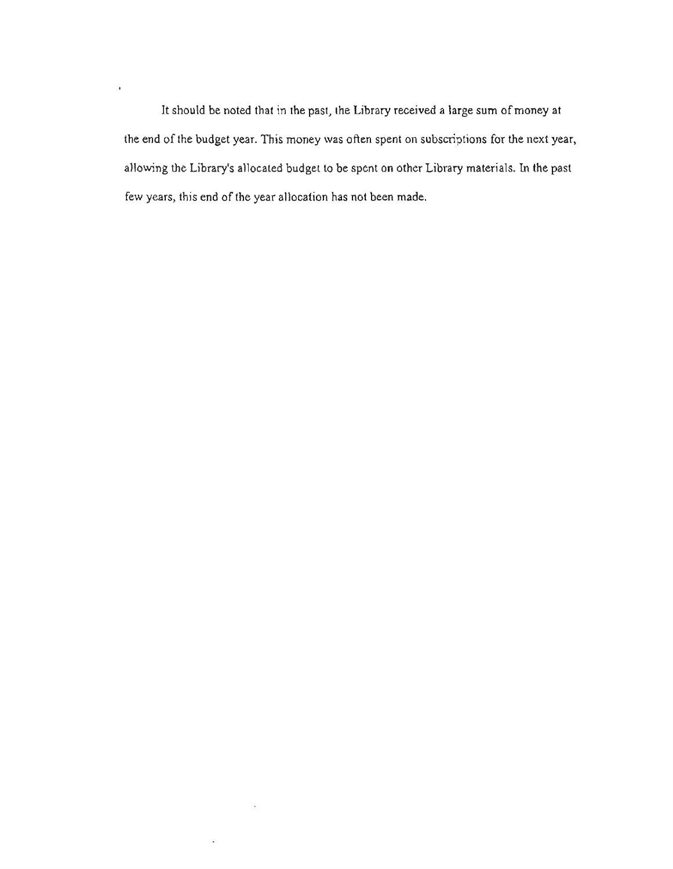Jt should be noted that in the past, the Library received a large sum of money at the end of the budget year. This money was often spent on subscriptions for the next year, allowing the Library's allocated budget to be spent on other Library materials. In the past few years, this end of the year allocation has not been made.

 $\sim$ 

 $\hat{\mathbf{z}}$ 

 $\bar{\mathbf{r}}$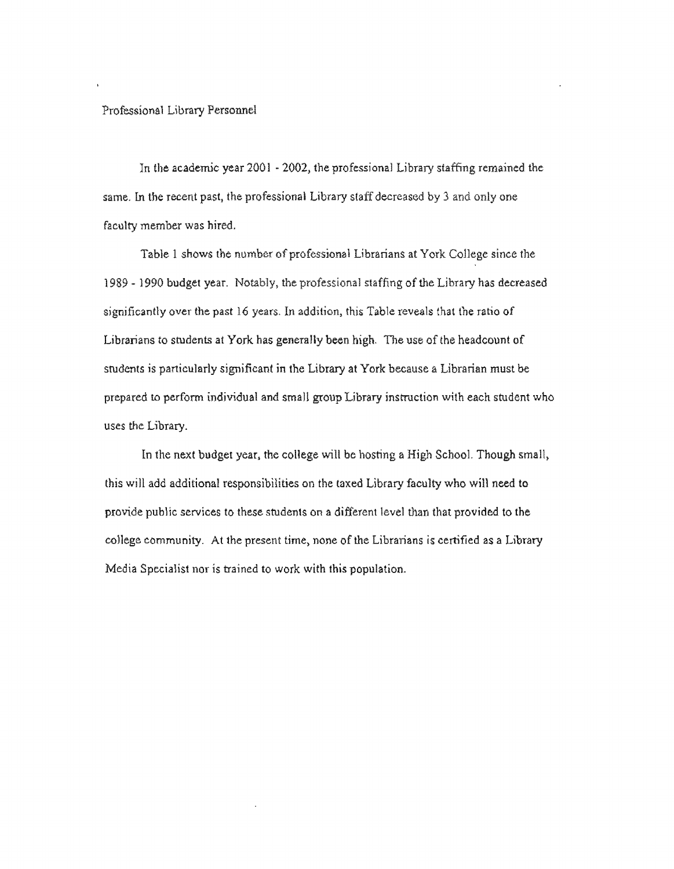#### **Professional Library** Personnel

**In**the academic year 2001 - 2002, the professional Library staffing **remained the**  same. ln the recent past, the professional Library staff decreased by 3 and **only** one **faculty member** was hired.

**Table** 1 shows the number of professional Librarians at York **College since the**  1989 - 1990 budget year. Notably, the professional staffing **of** the Library has **decreased**  significantly over the past 16 years. In addition, this Table reveals **that fhe ratio** of Librarians to students at York has generally been high. The use of the headcount of students is particularly significant in the Library at York because a **Librarian**must be prepared to perform individual and small group Library **instruction**with **each** student who uses the Library.

In the next budget year, the college will **be** hosting a **High** School. **Though**small> this will add additional responsibilities on the **taxed**Library faculty who will need to provide public services to these students on a **different**level than that provided to the college community. At the **present**time> none **of the Librarians** is certified **as a** Library Media Specialist nor is **trained**to work with **this**population.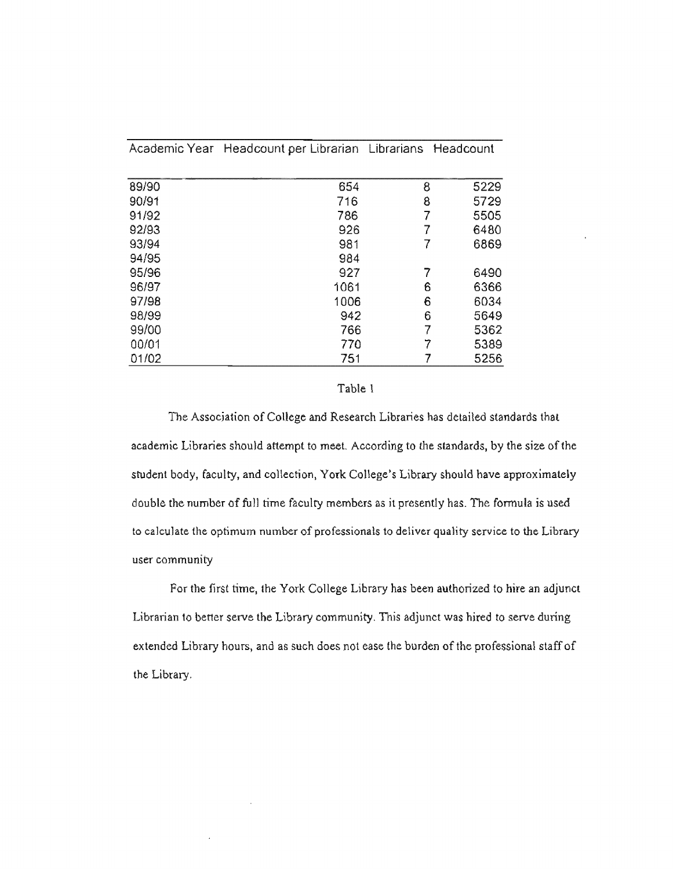| 89/90 | 654  | 8 | 5229 |
|-------|------|---|------|
| 90/91 | 716  | 8 | 5729 |
| 91/92 | 786  |   | 5505 |
| 92/93 | 926  |   | 6480 |
| 93/94 | 981  |   | 6869 |
| 94/95 | 984  |   |      |
| 95/96 | 927  |   | 6490 |
| 96/97 | 1061 | 6 | 6366 |
| 97/98 | 1006 | 6 | 6034 |
| 98/99 | 942  | 6 | 5649 |
| 99/00 | 766  |   | 5362 |
| 00/01 | 770  |   | 5389 |
| 01/02 | 751  |   | 5256 |

Academic Year Headcount per Librarian Librarians Headcount

### Table l

The Association of College and Research Libraries has detailed standards that academic Libraries should attempt to meet. According to the standards, by the size of the student body, faculty, and collection, York College's Library should have approximately double the number of full time faculty members as it presently has. The formula is used to calculate the optimum number of professionals to deliver quality service to the Library user community

For the first time, the York College Library has been authorized to hire an adjunct Librarian to better serve the Library community. This adjunct was hired to serve during extended Library hours, and as such does not ease the burden of the professional staff of the Library.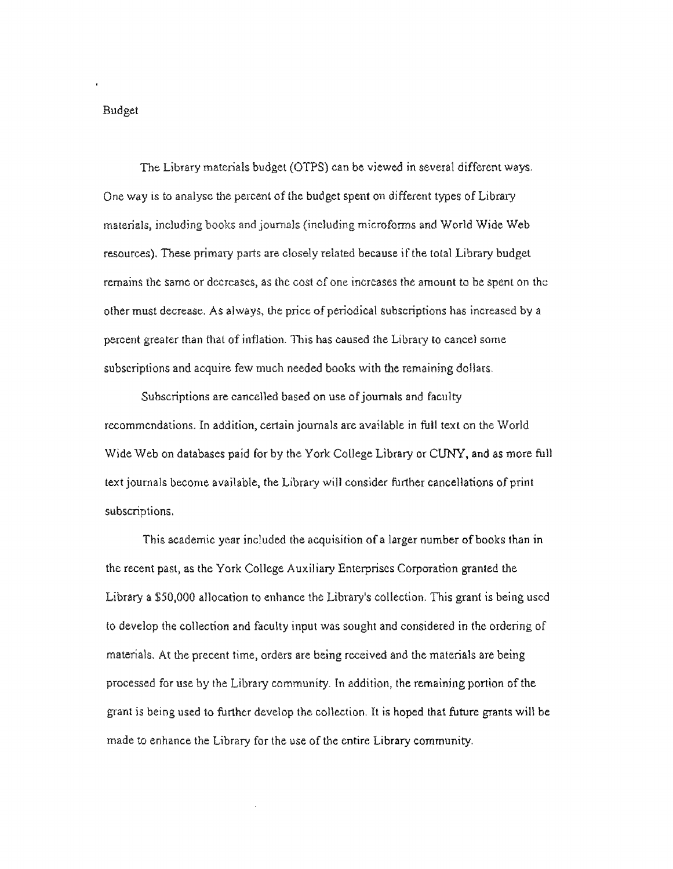#### Budget

The Library materials budget (OTPS) can be viewed in several **differentways.**  One way is to analyse the percent of the budget spent on different **types of Library**  materials; inciudjng books and journals (lnduding microforms and World Wide Web resources). These primary parts are closely related because if the total **Library budget**  remains the same or decreases, as the cost of one increases !he amount ta be spent on the other must decrease. As always, lhe price of periodical **subscriptions has increased by** a percent greater than that of inflation. This has caused the Library to **cancel** some subscriptions and acquire few much needed books with the remaining dollars.

Subscriptions are cancelled based on use of journals and faculty recommendations. In addition, certain **journals**are **available**in full text on **the** World Wide Web on databases paid for by the **York College** Library or CUNY, and as more full text journals become available, the **Librarywill consider** further cancellations of print subscriptions.

This academic year included the acquisition of a larger number of books than in the recent past, as the York College Auxiliary Enterprises Corporation granted the Library a \$50,000 allocation to **enhance**the Library's collection. This grant is being used to develop the collection **and**faculty input was sought and considered in the ordering of materials. At the precent time, **orders**are **being** received and the materials are being processed for use by **the**Library community. In addition, the remaining portion of the grant is being **used** to further **develop** the col\ection. It is hoped that future grants win be made to enhance the Library for the use of the entire Library community.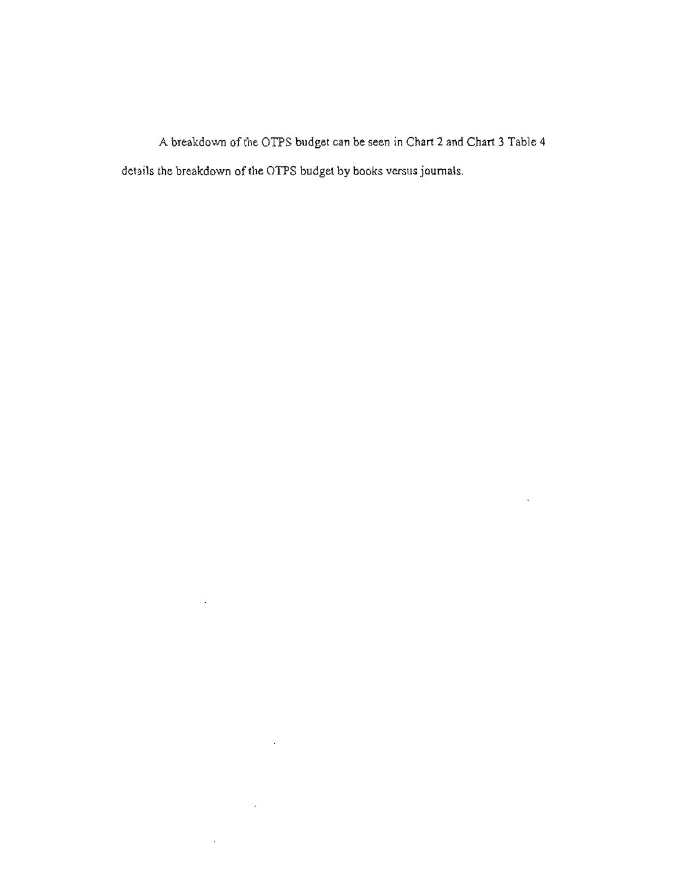A **breakdown of the OTPS** budget can be seen in Chart 2 and Chart 3 **Table**4 details the **breakdown**of the **OTPS** budget by **books**versus journals.

 $\overline{\phantom{a}}$ 

 $\mathcal{L}$ 

 $\sim$ 

 $\bar{z}$ 

J.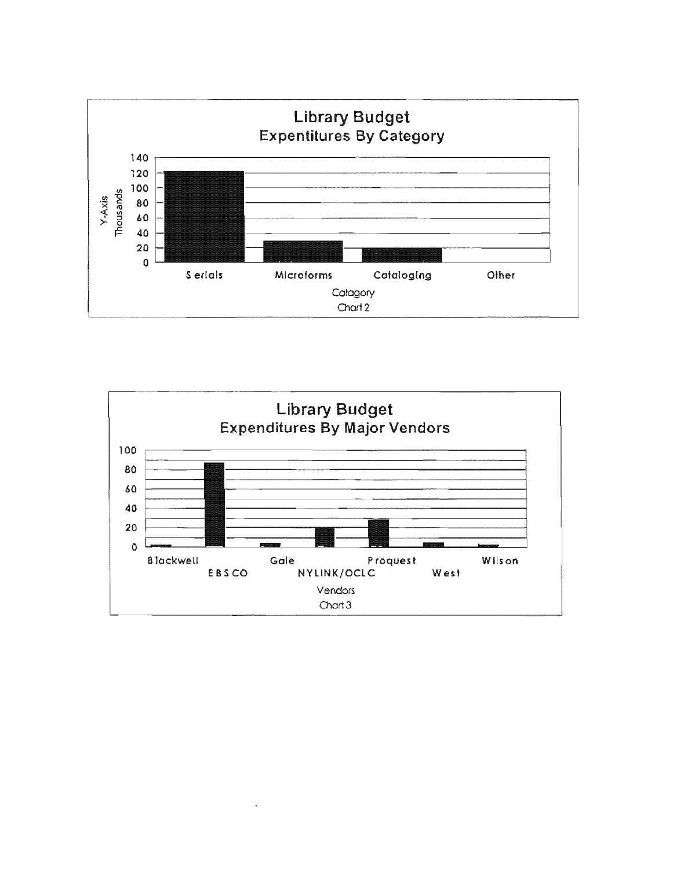

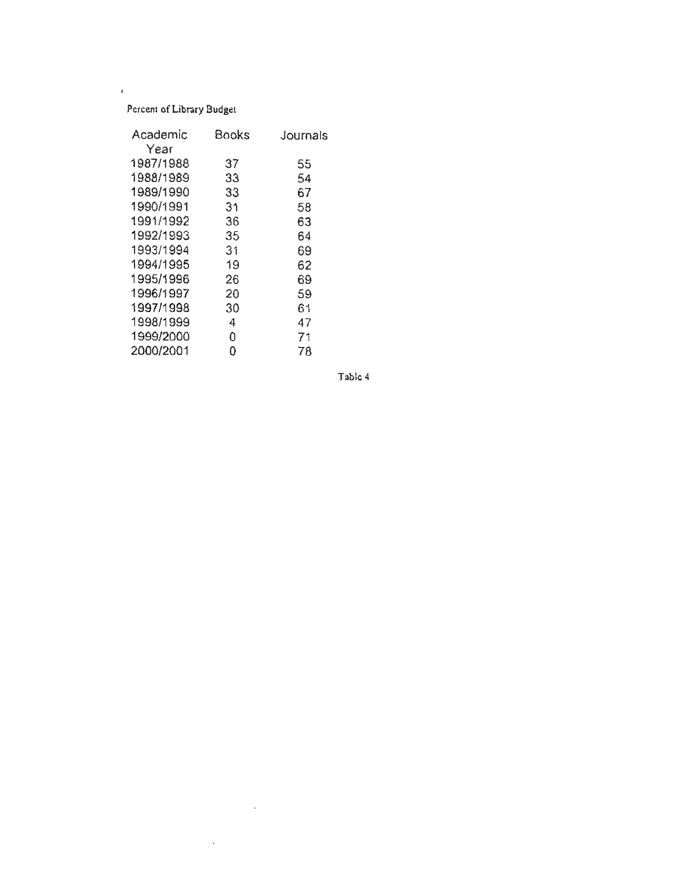# Percent of Library Budget

 $\bar{\mathbf{r}}$ 

| Academic  | Books | Journals |
|-----------|-------|----------|
| Year      |       |          |
| 1987/1988 | 37    | 55       |
| 1988/1989 | 33    | 54       |
| 1989/1990 | 33    | 67       |
| 1990/1991 | 31    | 58       |
| 1991/1992 | 36    | 63       |
| 1992/1993 | 35    | 64       |
| 1993/1994 | 31    | 69       |
| 1994/1995 | 19    | 62       |
| 1995/1996 | 26    | 69       |
| 1996/1997 | 20    | 59       |
| 1997/1998 | 30    | 61       |
| 1998/1999 | 4     | 47       |
| 1999/2000 | 0     | 71       |
| 2000/2001 | 0     | 78       |

 $\sim 100$  km s  $^{-1}$ 

 $\sim 10^7$ 

Table4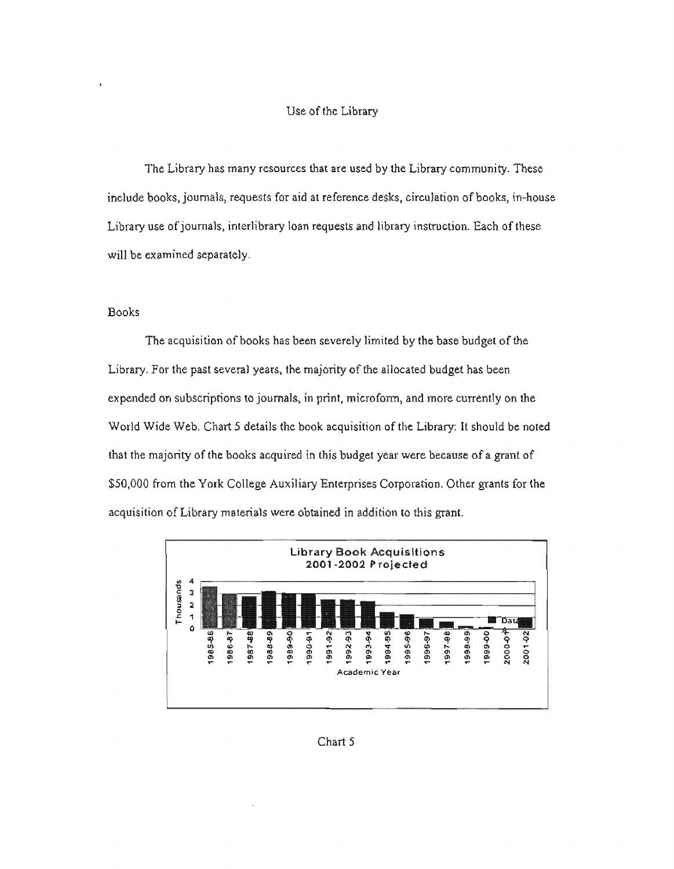#### Use of the Library

The Library has many resources that are used by the Library community. These include books, journals, requests for aid at reference desks, circulation of books, in-house Library use of journals, interlibrary loan requests and library instruction. Each of these will be examined separately.

### Books

The acquisition of books has been severely limited by the base budget of the Library. For the past several years, the majority of the allocated budget has been expended on subscriptions to journals, in print, microform, and more currently on the World Wide Web. Chart 5 details the book acquisition of the Library: It should be noted that the majority of the books acquired in this budget year were because of a grant of \$50,000 from the York College Auxiliary Enterprises Corporation. Other grants for the acquisition of Library materials were obtained in addition to this grant.



#### Chart 5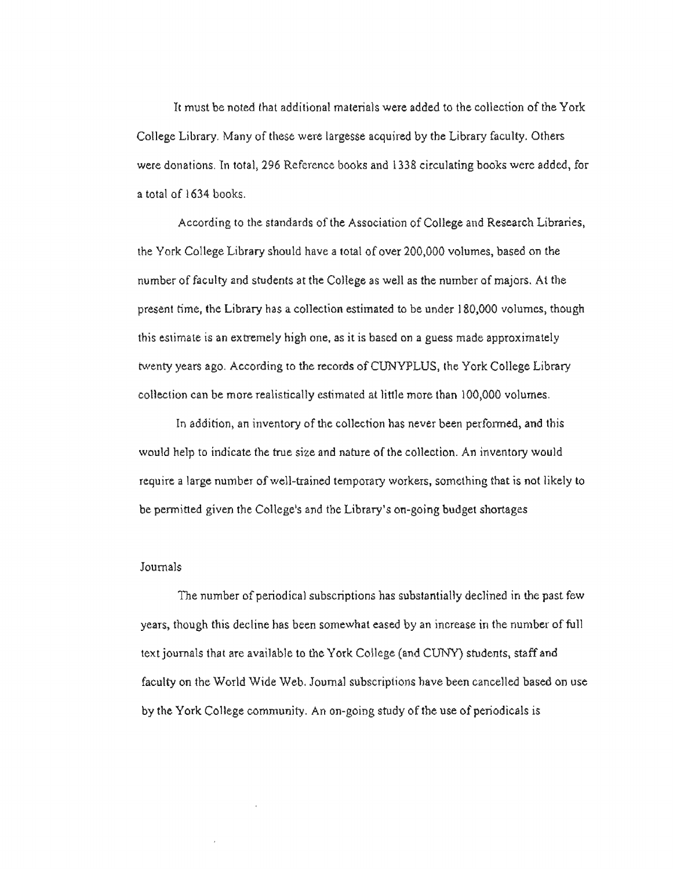It must be noted that additional materials were added to the collection of the York **College** Library. Many **of these** were largesse acquired by the Library faculty. Others were **donations. ln** total. **296 Reference** books and 1338 circulating books were added, for a total of 1634 **books.** 

**According to the standards** of the Association of College and Research Libraries, the York **College Library** should have a total of over 200,000 volumes, based on the number of faculty and students at the College as well as the number of majors. At the present time, **theLibraryhas a collection estimated to be under 180,000 volumes,** though this **estimate**is an **extremelyhigh**one, as it is **based**on a **guess** made approximately **twenty years ago. According to the records ofCUNYPLUS,** the York College Library **collection**can **be** more **realistically estimated** at little more than 100,000 volumes.

In addition, an inventory of the collection has never been performed, and this would help to indicate the true **size and**nature of the collection. An inventory would require a **large**number **of well-trained temporary** workers, something that is not likely to be permitted given the **College<sup>1</sup> s and** the Library's on-going budget shortages

#### Journals

**The** number of **periodical subscriptions has**substantially declined in the past few years, though this decline **has been somewhat eased** by an **increase in the** number of full text journals that are **available to the York College** (and CUNY) students, staff and faculty on the World Wide **Web. Journal subscriptions**have been cancelled based on use by the York **College community. An on-going study** of the use of periodicals is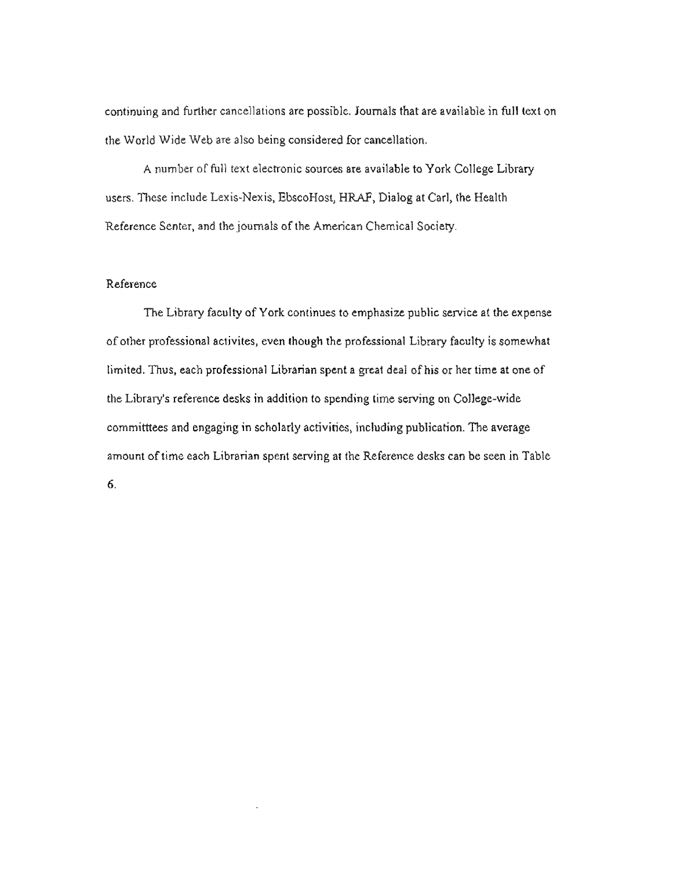continuing and further cancellations are possible. Journals that are available in full text on **the**World Wide **Web** are also being considered for cancellation.

A **number**of full text electronic sources are available to **York College** Library users. **111ese**include **Lexis~Nexis,**EbscoHost, HRAF, **Dialogat Carl,the Health Reference Senter,** and **the**journals of the American **Chemical Society.** 

## **Reference**

The Library faculty of York continues to emphasize public service at the expense of other professional activites, even though the professional **Library**faculty is somewhat limited. Thus, each professional Librarian spent a **great deal of his** or her time at one of the Library's reference desks in addition to spending time **serving on College-wide**  committtees and engaging in scholarly activities, **including publication. The** average amount of time each Librarian spent serving at the **Reference desks** can be seen in Table 6.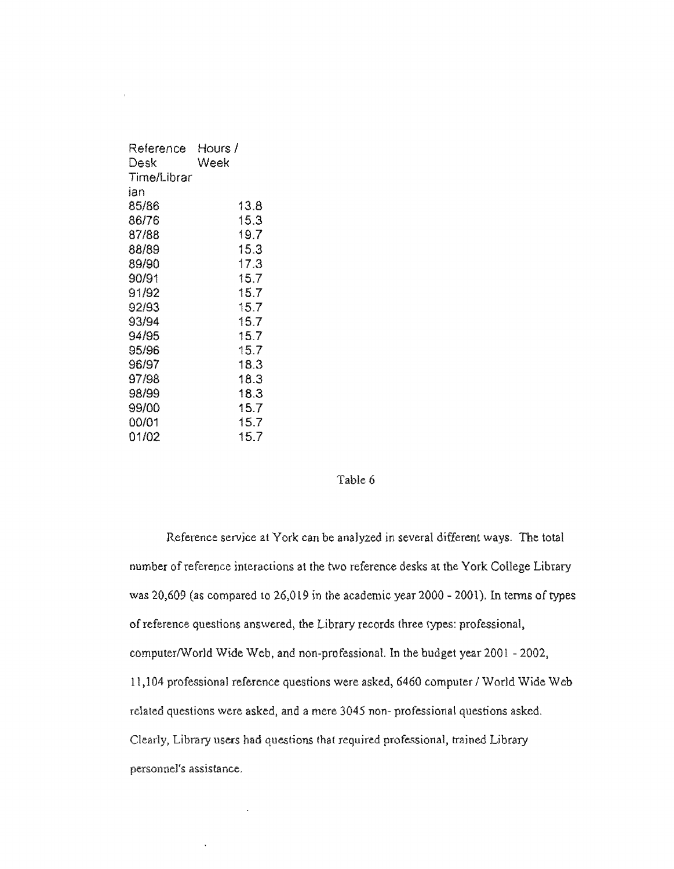| Reference<br>Desk | Hours /<br>Week |
|-------------------|-----------------|
| Time/Librar       |                 |
| ian               |                 |
| 85/86             | 13.8            |
| 86/76             | 15.3            |
| 87/88             | 19.7            |
| 88/89             | 15.3            |
| 89/90             | 17.3            |
| 90/91             | 15.7            |
| 91/92             | 15.7            |
| 92/93             | 15.7            |
| 93/94             | 15.7            |
| 94/95             | 15.7            |
| 95/96             | 15.7            |
| 96/97             | 18.3            |
| 97/98             | 18.3            |
| 98/99             | 18.3            |
| 99/00             | 15.7            |
| 00/01             | 15.7            |
| 01/02             | 15.7            |

#### **Table** 6

Reference service at York can be **analyzed in several** different ways. The total number of reference interactions at the two **reference desks** at the York College Library was 20,609 (as compared to 26,019 in the **academic**year 2000 - 2001). In terms of types ofreference questions **answered,theLibraryrecords**three types: professional, computer/World Wide Web, and **non-professional.**In the budget year 2001 - 2002, 1 l,104 professional **reference questions** were **asked)**6460 computer/ World Wide Web related questions were **asked, and** a mere 3045 non- professional questions asked. **Clearly, Library** users **had questions** that required professional, trained Library **personnel's assistance.** 

 $\lambda$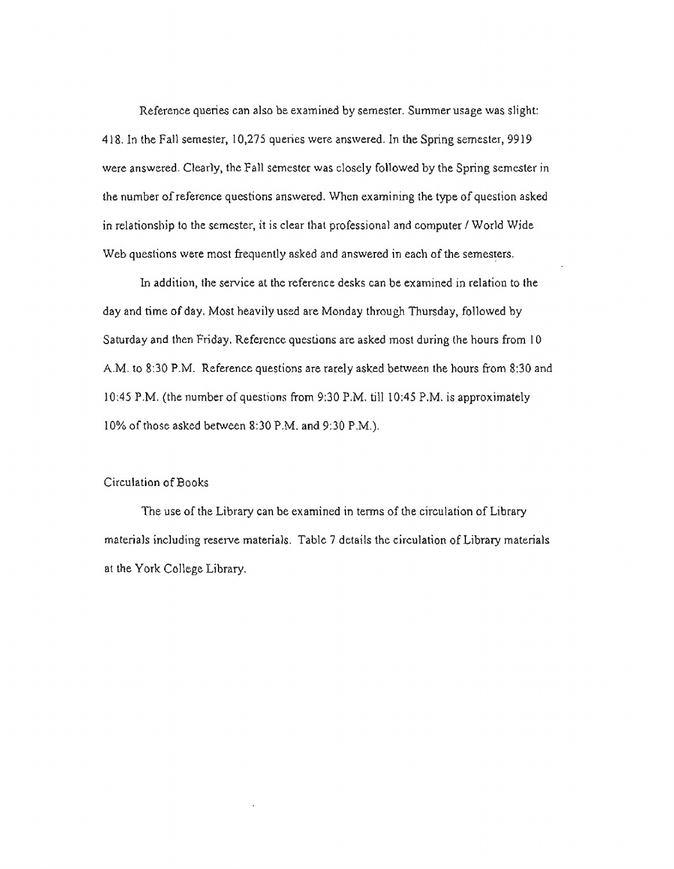Reference queries can also be examined by semester. Summer usage was slight: 418. In the Fall semester, 10,275 queries were answered. In the Spring semester, 9919 were answered. Clearly, the Fall semester was closely followed by the Spring semester in the number of reference questions answered. When examining the type of question asked in relationship to the semester, it is clear that professional and computer/ World Wide Web questions were most frequently asked and answered in each of the semesters.

ln addition, the service at the reference desks can be examined in relation to lhe day and time of day. Most heavily used are Monday through Thursday, followed by Saturday and then Friday. Reference questions are asked most during the hours from I 0 A.M. to 8:30 P.M. Reference questions are rarely asked between the hours from 8:30 and 10:45 P.M. (the number of questions from 9:30 P.M. till 10:45 P.M. is approximately 10% of those asked between 8:30 P,M. and 9:30 P.M.).

## Circulation of Books

The use of the Library can be examined in terms of the circulation of Library materials including reserve materials. Table 7 details the circulation of Library materials at the York College Library.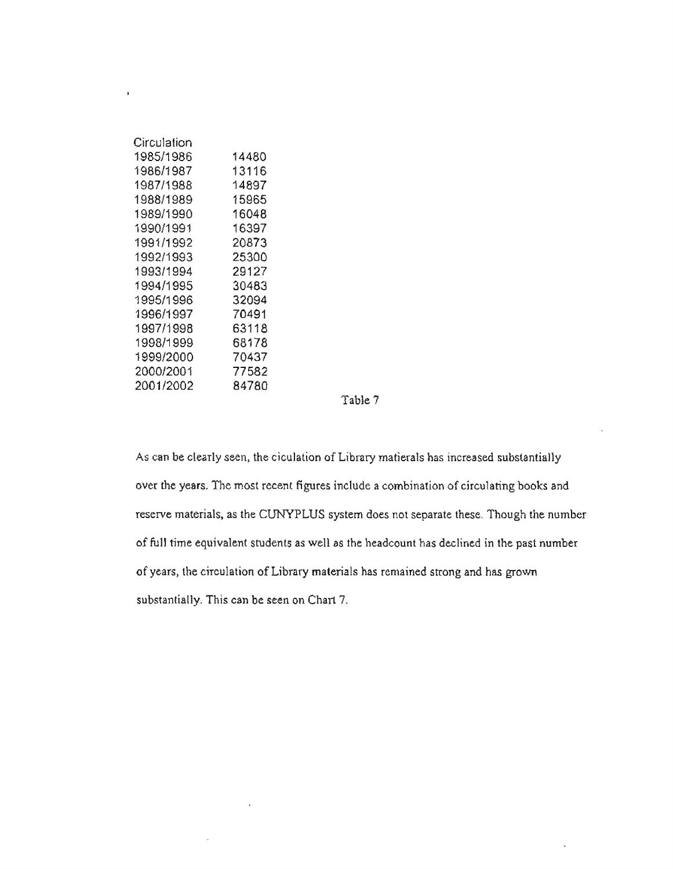| Circulation |       |
|-------------|-------|
| 1985/1986   | 14480 |
| 1986/1987   | 13116 |
| 1987/1988   | 14897 |
| 1988/1989   | 15965 |
| 1989/1990   | 16048 |
| 1990/1991   | 16397 |
| 1991/1992   | 20873 |
| 1992/1993   | 25300 |
| 1993/1994   | 29127 |
| 1994/1995   | 30483 |
| 1995/1996   | 32094 |
| 1996/1997   | 70491 |
| 1997/1998   | 63118 |
| 1998/1999   | 68178 |
| 1999/2000   | 70437 |
| 2000/2001   | 77582 |
| 2001/2002   | 84780 |

 $\ddot{\phantom{1}}$ 

**Table**7

As can be clearly seen, **the ciculation of** Library matierals has increased substantially over the years, **The** most recent **figures**include a combination **of circulating books** and reseive **materials. as the CUNYPLUS** system does not **separatethese.Though**the number of full **time equivalent students** as well as the headcount **has declined in** the **past**number of **years, the circulation** of Library materials has remained **strong**and **has** grown **substantially.**This can be seen on Chart 7.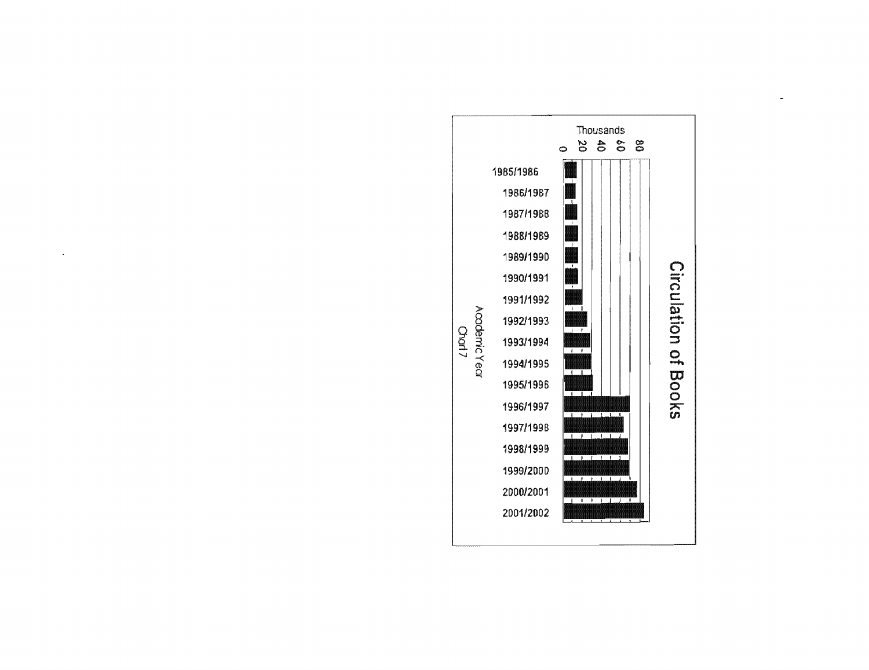

 $\ddot{\phantom{0}}$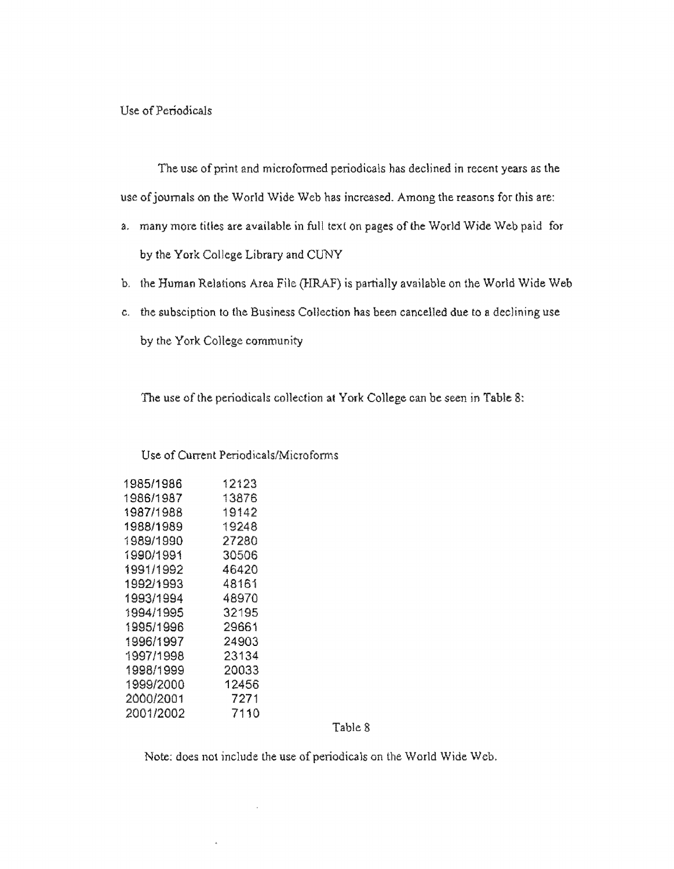**Use of Periodicals** 

**The**use **of print and** microfonned periodicals has declined in recent **years as the**  use **of journals on the World Wide** Web has increased. Among the reasons **for** this are:

- a. many more **titles**are **available in full** text on **pages**of the World Wide Web **paid for**  by the York College Library and CUNY
- b. the Human **Relations**Area **File (HRAF) is partially available** on the World Wide Web
- c. **the** subsciption to **the Business Collection has been** cancelled due to a declining use by **the** York**College community**

The use of the periodicals collection at York College can be seen in Table 8:

### Use of Current **Periodicals/Microfonns**

| 1985/1986 | 12123 |
|-----------|-------|
| 1986/1987 | 13876 |
| 1987/1988 | 19142 |
| 1988/1989 | 19248 |
| 1989/1990 | 27280 |
| 1990/1991 | 30506 |
| 1991/1992 | 46420 |
| 1992/1993 | 48161 |
| 1993/1994 | 48970 |
| 1994/1995 | 32195 |
| 1995/1996 | 29661 |
| 1996/1997 | 24903 |
| 1997/1998 | 23134 |
| 1998/1999 | 20033 |
| 1999/2000 | 12456 |
| 2000/2001 | 7271  |
| 2001/2002 | 7110  |
|           |       |

**Table** 8

**Note: does** not **include** the use of periodicals on the World Wide Web.

 $\bar{\mathbf{x}}$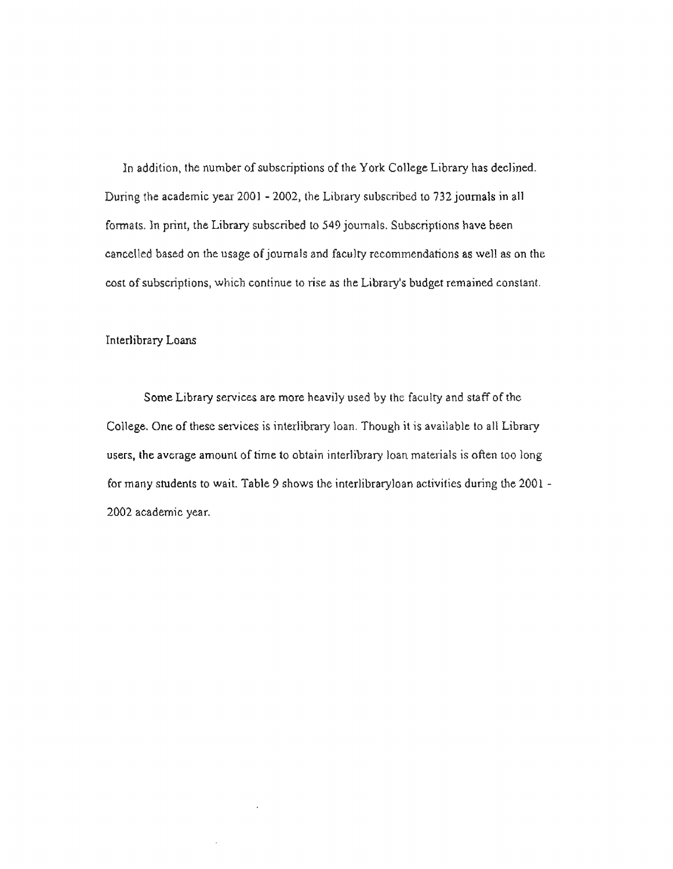In addition, the number of subscriptions of the York **College** Library has declined. During the academic year 2001 - 2002, the Library subscribed to 732 journals in all formats. ln print, the Library subscribed to 549 journals. Subscriptions have been cancelled based on the usage of journals and faculty recommendations as well as on the cost of subscriptions, which continue to rise as the Library's budget remained constant.

### Interlibrary Loans

Some Library services are more heavily used by lhe faculty and staff of the College. One of these services is interlibrary loan. Though it is available to all Library users, the average amount of time to obtain interlibrary loan materials is often too long for many students to wait. Table 9 shows the interlibraryloan activities during the 2001 -2002 academic year.

.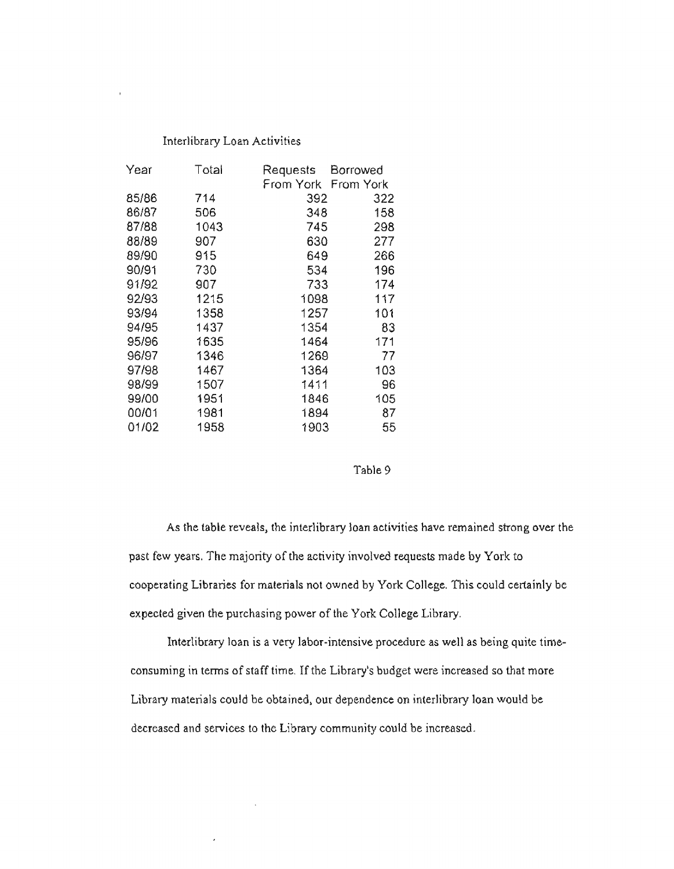#### Interlibrary Loan Activities

 $\bar{\bar{z}}$ 

| Year  | Total | Requests  | Borrowed  |
|-------|-------|-----------|-----------|
|       |       | From York | From York |
| 85/86 | 714   | 392       | 322       |
| 86/87 | 506   | 348       | 158       |
| 87/88 | 1043  | 745       | 298       |
| 88/89 | 907   | 630       | 277       |
| 89/90 | 915   | 649       | 266       |
| 90/91 | 730   | 534       | 196       |
| 91/92 | 907   | 733       | 174       |
| 92/93 | 1215  | 1098      | 117       |
| 93/94 | 1358  | 1257      | 101       |
| 94/95 | 1437  | 1354      | 83        |
| 95/96 | 1635  | 1464      | 171       |
| 96/97 | 1346  | 1269      | 77        |
| 97/98 | 1467  | 1364      | 103       |
| 98/99 | 1507  | 1411      | 96        |
| 99/00 | 1951  | 1846      | 105       |
| 00/01 | 1981  | 1894      | 87        |
| 01/02 | 1958  | 1903      | 55        |

 $\bar{z}$ 

 $\overline{\phantom{a}}$ 

#### Table 9

As the table reveals, the interlibrary loan activities have remained strong over the past few years. The majority of the activity involved requests made by York to cooperating Libraries for materials not owned by York College. This could certainly be expected given the purchasing power of the York College Library.

Interlibrary loan is a very labor-intensive procedure as well as being quite timeconsuming in terms of staff time. If the Library's budget were increased so that more Library materials could be obtained, our dependence on interlibrary loan would be decreased and services to the Library community could be increased.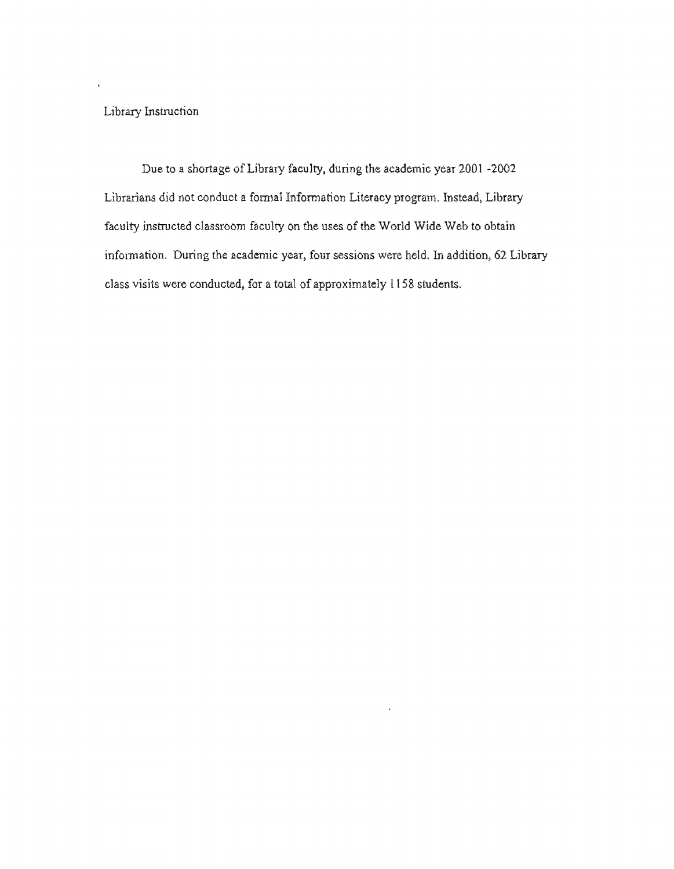**Library**Instruction

ï

Due to a shortage of Library faculty, during the **academic year** 2001 **-2002**  Librarians did not conduct a formal Infonnation Literacy **program. Instead, Library**  faculty instructed classroom faculty on **the** uses of the World **Wide Web** to obtain information. During the academic **year, four sessions** were **held.**In addition, 62 Library class visits were conducted, **for a total of approximately** l l **58 students.**